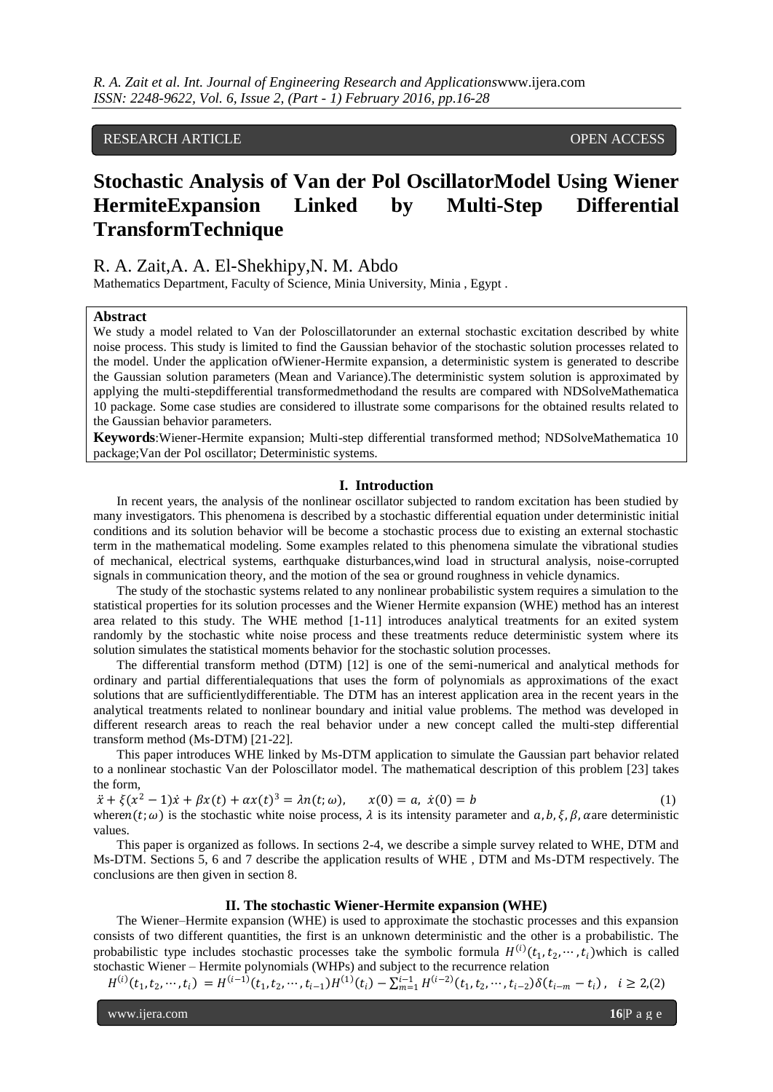RESEARCH ARTICLE **CONSERVERS** OPEN ACCESS

# **Stochastic Analysis of Van der Pol OscillatorModel Using Wiener HermiteExpansion Linked by Multi-Step Differential TransformTechnique**

# R. A. Zait,A. A. El-Shekhipy,N. M. Abdo

Mathematics Department, Faculty of Science, Minia University, Minia , Egypt .

#### **Abstract**

We study a model related to Van der Poloscillatorunder an external stochastic excitation described by white noise process. This study is limited to find the Gaussian behavior of the stochastic solution processes related to the model. Under the application ofWiener-Hermite expansion, a deterministic system is generated to describe the Gaussian solution parameters (Mean and Variance).The deterministic system solution is approximated by applying the multi-stepdifferential transformedmethodand the results are compared with NDSolveMathematica 10 package. Some case studies are considered to illustrate some comparisons for the obtained results related to the Gaussian behavior parameters.

**Keywords**:Wiener-Hermite expansion; Multi-step differential transformed method; NDSolveMathematica 10 package;Van der Pol oscillator; Deterministic systems.

#### **I. Introduction**

In recent years, the analysis of the nonlinear oscillator subjected to random excitation has been studied by many investigators. This phenomena is described by a stochastic differential equation under deterministic initial conditions and its solution behavior will be become a stochastic process due to existing an external stochastic term in the mathematical modeling. Some examples related to this phenomena simulate the vibrational studies of mechanical, electrical systems, earthquake disturbances,wind load in structural analysis, noise-corrupted signals in communication theory, and the motion of the sea or ground roughness in vehicle dynamics.

The study of the stochastic systems related to any nonlinear probabilistic system requires a simulation to the statistical properties for its solution processes and the Wiener Hermite expansion (WHE) method has an interest area related to this study. The WHE method [1-11] introduces analytical treatments for an exited system randomly by the stochastic white noise process and these treatments reduce deterministic system where its solution simulates the statistical moments behavior for the stochastic solution processes.

The differential transform method (DTM) [12] is one of the semi-numerical and analytical methods for ordinary and partial differentialequations that uses the form of polynomials as approximations of the exact solutions that are sufficientlydifferentiable. The DTM has an interest application area in the recent years in the analytical treatments related to nonlinear boundary and initial value problems. The method was developed in different research areas to reach the real behavior under a new concept called the multi-step differential transform method (Ms-DTM) [21-22].

This paper introduces WHE linked by Ms-DTM application to simulate the Gaussian part behavior related to a nonlinear stochastic Van der Poloscillator model. The mathematical description of this problem [23] takes the form,

 $\ddot{x} + \xi(x^2 - 1)\dot{x} + \beta x(t) + \alpha x(t)^3 = \lambda n(t; \omega), \quad x(0) = a, \ \dot{x}(0) = b$  (1) where  $n(t; \omega)$  is the stochastic white noise process,  $\lambda$  is its intensity parameter and  $\alpha, b, \xi, \beta, \alpha$  are deterministic values.

This paper is organized as follows. In sections 2-4, we describe a simple survey related to WHE, DTM and Ms-DTM. Sections 5, 6 and 7 describe the application results of WHE , DTM and Ms-DTM respectively. The conclusions are then given in section 8.

# **II. The stochastic Wiener-Hermite expansion (WHE)**

The Wiener–Hermite expansion (WHE) is used to approximate the stochastic processes and this expansion consists of two different quantities, the first is an unknown deterministic and the other is a probabilistic. The probabilistic type includes stochastic processes take the symbolic formula  $H^{(i)}(t_1, t_2, \dots, t_i)$  which is called stochastic Wiener – Hermite polynomials (WHPs) and subject to the recurrence relation

 $H^{(i)}(t_1, t_2, \cdots, t_i) = H^{(i-1)}(t_1, t_2, \cdots, t_{i-1}) H^{(1)}(t_i) - \sum_{m=1}^{i-1} H^{(i-2)}(t_1, t_2, \cdots, t_{i-2}) \delta(t_{i-m} - t_i), \quad i \ge 2, (2)$ 

www.ijera.com **16**|P a g e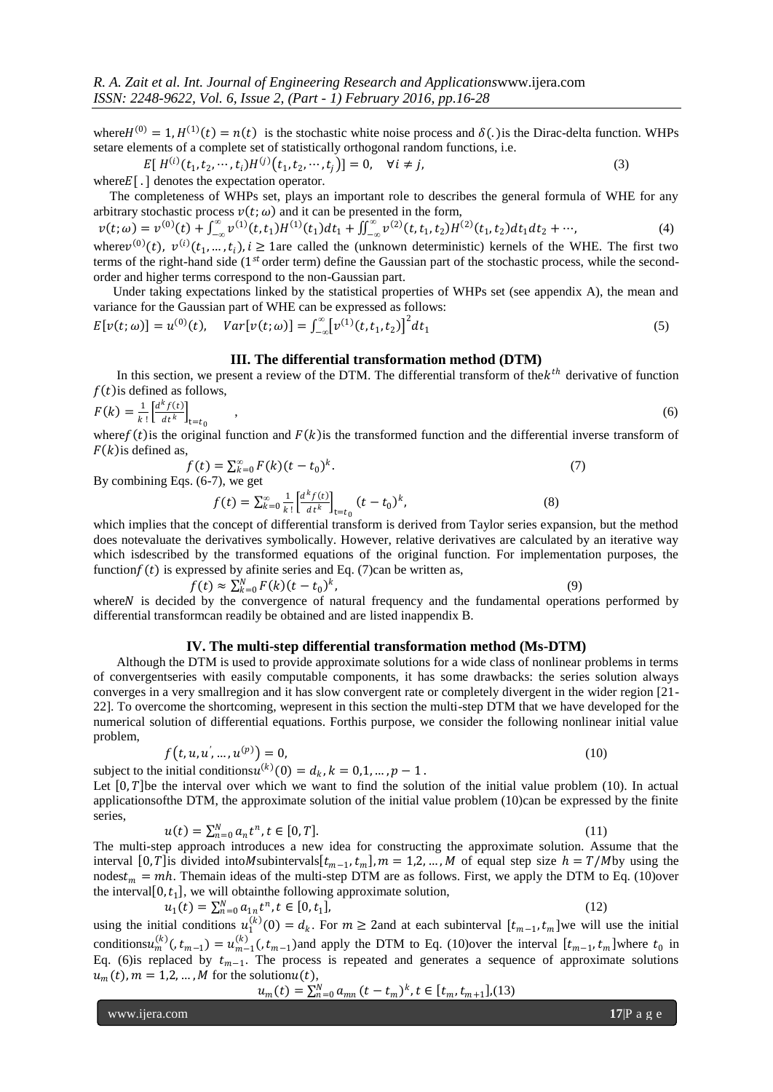where  $H^{(0)} = 1$ ,  $H^{(1)}(t) = n(t)$  is the stochastic white noise process and  $\delta(.)$  is the Dirac-delta function. WHPs setare elements of a complete set of statistically orthogonal random functions, i.e.

$$
E[H^{(i)}(t_1, t_2, \cdots, t_i)H^{(j)}(t_1, t_2, \cdots, t_j)] = 0, \quad \forall i \neq j,
$$
\n(3)

where  $E[\cdot]$  denotes the expectation operator.

 The completeness of WHPs set, plays an important role to describes the general formula of WHE for any arbitrary stochastic process  $v(t; \omega)$  and it can be presented in the form,

 $v(t; \omega) = v^{(0)}(t) + \int_{-\infty}^{\infty} v^{(1)}(t, t_1) H^{(1)}(t_1) dt_1$ −∞  $v^{(1)}(t, t_1)H^{(1)}(t_1)dt_1 + \iint_{-\infty}^{\infty} v^{(2)}(t, t_1, t_2)H^{(2)}(t_1, t_2)dt_1dt_2$  $\int_{-\infty}^{\infty} v^{(2)}(t, t_1, t_2) H^{(2)}(t_1, t_2) dt_1 dt_2 + \cdots,$  (4)

where  $v^{(0)}(t)$ ,  $v^{(i)}(t_1, ..., t_i)$ ,  $i \ge 1$  are called the (unknown deterministic) kernels of the WHE. The first two terms of the right-hand side (1<sup>st</sup> order term) define the Gaussian part of the stochastic process, while the secondorder and higher terms correspond to the non-Gaussian part.

 Under taking expectations linked by the statistical properties of WHPs set (see appendix A), the mean and variance for the Gaussian part of WHE can be expressed as follows:

$$
E[v(t; \omega)] = u^{(0)}(t), \quad Var[v(t; \omega)] = \int_{-\infty}^{\infty} [v^{(1)}(t, t_1, t_2)]^2 dt_1
$$
\n(5)

#### **III. The differential transformation method (DTM)**

In this section, we present a review of the DTM. The differential transform of the  $k^{th}$  derivative of function  $f(t)$  is defined as follows,

$$
F(k) = \frac{1}{k!} \left[ \frac{d^k f(t)}{dt^k} \right]_{t=t_0},\tag{6}
$$

where  $f(t)$  is the original function and  $F(k)$  is the transformed function and the differential inverse transform of  $F(k)$  is defined as,

$$
f(t) = \sum_{k=0}^{\infty} F(k)(t - t_0)^k.
$$
\n<sup>(6.7)</sup> we get

By combining Eqs. (6-7), we get

$$
f(t) = \sum_{k=0}^{\infty} \frac{1}{k!} \left[ \frac{d^k f(t)}{dt^k} \right]_{t=t_0} (t - t_0)^k, \tag{8}
$$

which implies that the concept of differential transform is derived from Taylor series expansion, but the method does notevaluate the derivatives symbolically. However, relative derivatives are calculated by an iterative way which isdescribed by the transformed equations of the original function. For implementation purposes, the function $f(t)$  is expressed by afinite series and Eq. (7)can be written as,

$$
f(t) \approx \sum_{k=0}^{N} F(k)(t - t_0)^k,
$$
 (9)  
cided by the convergence of natural frequency and the fundamental operations performed

where N is decided by the convergence of natural frequency and the fundamental operations performed by differential transformcan readily be obtained and are listed inappendix B.

#### **IV. The multi-step differential transformation method (Ms-DTM)**

Although the DTM is used to provide approximate solutions for a wide class of nonlinear problems in terms of convergentseries with easily computable components, it has some drawbacks: the series solution always converges in a very smallregion and it has slow convergent rate or completely divergent in the wider region [21- 22]. To overcome the shortcoming, wepresent in this section the multi-step DTM that we have developed for the numerical solution of differential equations. Forthis purpose, we consider the following nonlinear initial value problem,

$$
f(t, u, u', ..., u^{(p)}) = 0,
$$
\n(10)

subject to the initial conditions  $u^{(k)}(0) = d_k$ ,  $k = 0, 1, ..., p - 1$ .

Let  $[0, T]$  be the interval over which we want to find the solution of the initial value problem (10). In actual applicationsofthe DTM, the approximate solution of the initial value problem (10)can be expressed by the finite series,

$$
u(t) = \sum_{n=0}^{N} a_n t^n, t \in [0, T].
$$
\n(11)

The multi-step approach introduces a new idea for constructing the approximate solution. Assume that the interval [0, T] is divided into M subintervals  $[t_{m-1}, t_m]$ ,  $m = 1, 2, ..., M$  of equal step size  $h = T/M$  by using the nodes  $t_m = mh$ . Themain ideas of the multi-step DTM are as follows. First, we apply the DTM to Eq. (10)over the interval  $[0, t<sub>1</sub>]$ , we will obtain the following approximate solution,

$$
u_1(t) = \sum_{n=0}^{N} a_{1n} t^n, t \in [0, t_1],
$$
\n(12)

using the initial conditions  $u_1^{(k)}(0) = d_k$ . For  $m \ge 2$  and at each subinterval  $[t_{m-1}, t_m]$  we will use the initial conditions  $u_m^{(k)}(t_{m-1}) = u_{m-1}^{(k)}(t_{m-1})$  and apply the DTM to Eq. (10) over the interval  $[t_{m-1}, t_m]$  where  $t_0$  in Eq. (6) is replaced by  $t_{m-1}$ . The process is repeated and generates a sequence of approximate solutions  $u_m(t)$ ,  $m = 1,2,...,M$  for the solution $u(t)$ ,

$$
u_m(t) = \sum_{n=0}^{N} a_{mn} (t - t_m)^k, t \in [t_m, t_{m+1}], (13)
$$

www.ijera.com **17**|P a g e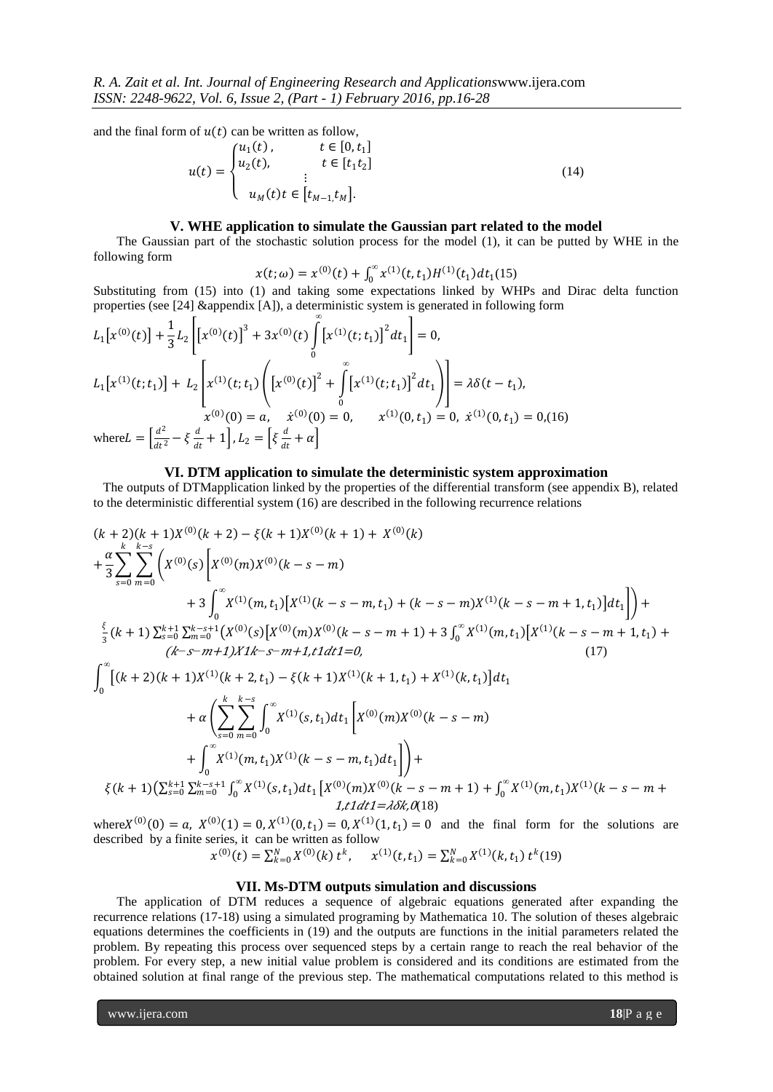and the final form of  $u(t)$  can be written as follow,

$$
u(t) = \begin{cases} u_1(t), & t \in [0, t_1] \\ u_2(t), & t \in [t_1 t_2] \\ \vdots & \vdots \\ u_M(t)t \in [t_{M-1}, t_M]. \end{cases}
$$
(14)

#### **V. WHE application to simulate the Gaussian part related to the model**

The Gaussian part of the stochastic solution process for the model (1), it can be putted by WHE in the following form

 $x(t; \omega) = x^{(0)}(t) + \int_0^\infty x^{(1)}(t, t_1)H^{(1)}(t_1)dt_1$  $\int_0^\infty x^{(1)}(t,t_1)H^{(1)}(t_1)dt_1(15)$ 

Substituting from (15) into (1) and taking some expectations linked by WHPs and Dirac delta function properties (see [24] &appendix [A]), a deterministic system is generated in following form

$$
L_{1}[x^{(0)}(t)] + \frac{1}{3}L_{2}\left[[x^{(0)}(t)]^{3} + 3x^{(0)}(t)\int_{0}^{\infty} [x^{(1)}(t;t_{1})]^{2}dt_{1}\right] = 0,
$$
  
\n
$$
L_{1}[x^{(1)}(t;t_{1})] + L_{2}\left[x^{(1)}(t;t_{1})\left([x^{(0)}(t)]^{2} + \int_{0}^{\infty} [x^{(1)}(t;t_{1})]^{2}dt_{1}\right]\right] = \lambda\delta(t-t_{1}),
$$
  
\n
$$
x^{(0)}(0) = a, \quad \dot{x}^{(0)}(0) = 0, \quad x^{(1)}(0,t_{1}) = 0, \quad \dot{x}^{(1)}(0,t_{1}) = 0,
$$
  
\nwhere  $L = \left[\frac{d^{2}}{dt^{2}} - \xi\frac{d}{dt} + 1\right], L_{2} = \left[\xi\frac{d}{dt} + \alpha\right]$ 

#### **VI. DTM application to simulate the deterministic system approximation**

 The outputs of DTMapplication linked by the properties of the differential transform (see appendix B), related to the deterministic differential system (16) are described in the following recurrence relations

$$
(k+2)(k+1)X^{(0)}(k+2) - \xi(k+1)X^{(0)}(k+1) + X^{(0)}(k)
$$
  
+
$$
\frac{\alpha}{3} \sum_{s=0}^{k-s} \sum_{m=0}^{k-s} \left( X^{(0)}(s) \left[ X^{(0)}(m)X^{(0)}(k-s-m) + 3 \int_0^{\infty} X^{(1)}(m,t_1) \left[ X^{(1)}(k-s-m,t_1) + (k-s-m)X^{(1)}(k-s-m+1,t_1) \right] dt_1 \right] \right) + \frac{\xi}{3} (k+1) \sum_{s=0}^{k+1} \sum_{m=0}^{k-s+1} \left( X^{(0)}(s) \left[ X^{(0)}(m)X^{(0)}(k-s-m+1) + 3 \int_0^{\infty} X^{(1)}(m,t_1) \left[ X^{(1)}(k-s-m+1,t_1) + 3 \int_0^{\infty} X^{(1)}(m,t_1) \right] d(t_1) \right] dt_1
$$
  

$$
+ \alpha \left( \sum_{s=0}^{k} \sum_{m=0}^{k-s} \int_0^{\infty} X^{(1)}(s,t_1) dt_1 \left[ X^{(0)}(m)X^{(0)}(k-s-m) + 3 \int_0^{\infty} X^{(1)}(m,t_1) \right] d(t_1) \right] dt_1
$$
  
+
$$
\alpha \left( \sum_{s=0}^{k} \sum_{m=0}^{k-s} \int_0^{\infty} X^{(1)}(s,t_1) dt_1 \left[ X^{(0)}(m)X^{(0)}(k-s-m) + 3 \int_0^{\infty} X^{(1)}(m,t_1)X^{(1)}(k-s-m+1) + 3 \int_0^{\infty} X^{(1)}(m,t_1)X^{(1)}(k-s-m+1) \right] dt_1 dt_1 dt_1 dt_2
$$
  

$$
= \frac{\xi(k+1) \left( \sum_{s=0}^{k+1} \sum_{m=0}^{k-s+1} \int_0^{\infty} X^{(1)}(s,t_1) dt_1 \left[ X^{(0)}(m)X^{(0)}(k-s-m+1) + \int_0^{\infty} X^{(1)}(m,t_1)X^{(1)}(k-s-m+1) + 3 \int_0^{\infty} X^{
$$

where  $X^{(0)}(0) = a$ ,  $X^{(0)}(1) = 0$ ,  $X^{(1)}(0, t_1) = 0$ ,  $X^{(1)}(1, t_1) = 0$  and the final form for the solutions are described by a finite series, it can be written as follow

$$
x^{(0)}(t) = \sum_{k=0}^{N} X^{(0)}(k) t^k, \quad x^{(1)}(t, t_1) = \sum_{k=0}^{N} X^{(1)}(k, t_1) t^k
$$
(19)

### **VII. Ms-DTM outputs simulation and discussions**

The application of DTM reduces a sequence of algebraic equations generated after expanding the recurrence relations (17-18) using a simulated programing by Mathematica 10. The solution of theses algebraic equations determines the coefficients in (19) and the outputs are functions in the initial parameters related the problem. By repeating this process over sequenced steps by a certain range to reach the real behavior of the problem. For every step, a new initial value problem is considered and its conditions are estimated from the obtained solution at final range of the previous step. The mathematical computations related to this method is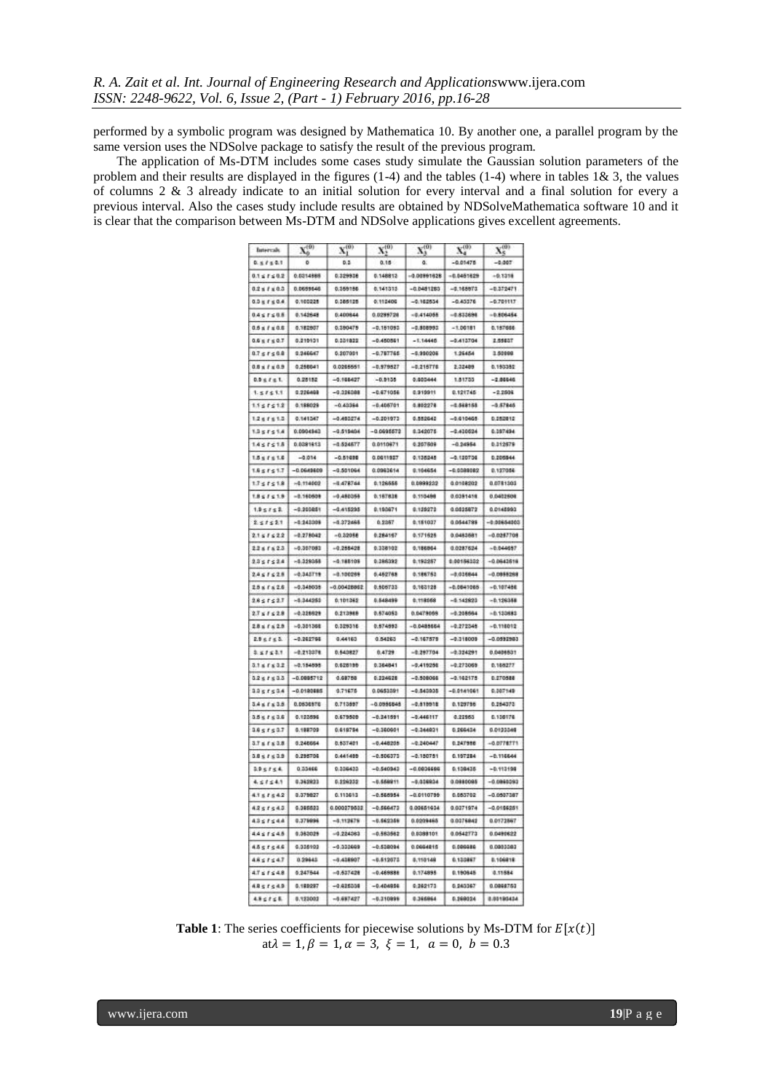performed by a symbolic program was designed by Mathematica 10. By another one, a parallel program by the same version uses the NDSolve package to satisfy the result of the previous program.

The application of Ms-DTM includes some cases study simulate the Gaussian solution parameters of the problem and their results are displayed in the figures (1-4) and the tables (1-4) where in tables 1& 3, the values of columns 2 & 3 already indicate to an initial solution for every interval and a final solution for every a previous interval. Also the cases study include results are obtained by NDSolveMathematica software 10 and it is clear that the comparison between Ms-DTM and NDSolve applications gives excellent agreements.

| Intervals                 | $\mathbf{X}_b^{(0)}$ | ${\bf X}^{(0)}_{1}$ | $X_2^{(0)}$  | $X_3^{(0)}$   | ${\bf X}_{4}^{(0)}$ | $X_{S}^{(0)}$ |
|---------------------------|----------------------|---------------------|--------------|---------------|---------------------|---------------|
| $0.5$ $f \le 0.1$         |                      | 0.3                 | 0.15         |               | $-0.01475$          | $-0.007$      |
| $0.1 \le f \le 0.2$       | 0.0314888            | 0.329938            | 0.148812     | $-0.00891028$ | $-0.0481829$        | $-0.1318$     |
| $0.2 + 1 + 0.3$           | 0.0699646            | 0.369186            | 0.141315     | $-0.0481285$  | $-0.168973$         | $-0.372471$   |
| 0.3 < f < 0.4             | 0.100225             | 0.385125            | 0.112406     | $-0.162534$   | $-0.45576$          | $-0.701117$   |
| $0.4 \le f \le 0.8$       | 0.142648             | 0.400844            | 0.0299728    | $-0.414066$   | $-0.833694$         | $-0.806454$   |
| $0.5 + 1 + 0.6$           | 0.182907             | 0.380475            | $-0.151053$  | $-0.808993$   | $-1.00181$          | 0.157666      |
| $0.6 \le f \le 0.7$       | 0.210101             | 0.331822            | $-0.450561$  | $-1.14448$    | $-0.413704$         | 2.55837       |
| 0.751508                  | 0.246667             | 0.207001            | $-0.787766$  | $-0.990208$   | 1,25454             | 1,50999       |
| $0.8 + f = 0.9$           | 0.258841             | 0.0265551           | $-0.979527$  | $-0.216776$   | 2,32489             | 0.193380      |
| $0.9 \le f \le 1$ .       | 0.25152              | $-0.168427$         | $-0.9135$    | 0.000444      | 1,81733             | $-2.06646$    |
| 1.57511                   | 0.226408             | $-0.026008$         | $-0.671056$  | 0.919911      | 0.121745            | $-2.2504$     |
| $1.1 \leq t \leq 1.2$     | 0.188029             | $-0.43364$          | $-0.406761$  | 0.802278      | $-0.568158$         | $-0.57845$    |
| 1265613                   | 0.541247             | $-0.400274$         | $-0.201973$  | 0.552642      | $-0.010465$         | 0.252812      |
| 1.35751.8                 | 0.0904943            | $-0.515404$         | $-0.0995572$ | 0.342075      | $-0.430624$         | 0.397494      |
| $1.4 \le f \le 1.5$       | 0.0091613            | $-0.894877$         | 0.0110671    | 0.207609      | $-0.24954$          | 0.312579      |
| $1.5 \le f \le 1.6$       | $-0.014$             | $-0.51000$          | 0.0011927    | 0.138245      | $-0.100704$         | 0.205544      |
| 1.851517                  | $-0.0649609$         | $-0.501064$         | 0.0963614    | 0.104654      | $-0.0000002$        | 0.127056      |
| $1.7 \le f \le 1.8$       | $-0.714002$          | $-8.478764$         | 0.126555     | 0.0999222     | 0.0108202           | 0.0781303     |
| 1851118                   | $-0.160608$          | $-0.480058$         | 0.167838     | 0.110488      | 0.0391418           | 0.0402508     |
| 1.95752                   | $-0.200051$          | $-0.415295$         | 9.190971     | 9.129272      | 0.0525872           | 0.0145993     |
| 251521                    | $-0.243008$          | $-0.272468$         | 0.2357       | 0.151037      | 0.0544789           | $-0.00654000$ |
| $2.1 \le f \le 2.2$       | $-0.278042$          | $-0.32088$          | 0.284167     | 0.171625      | 0.0483581           | $-0.0287708$  |
| 2281623                   | $-0.307083$          | $-9.255428$         | 0.338102     | 0.186864      | 0.0287624           | $-0.044657$   |
| $2.3 \le f \le 2.4$       | $-0.359068$          | $-0.188108$         | 0.386393     | 0.192257      | 0.00184102          | $-0.0643618$  |
| $2.4 \le f \le 2.8$       | $-0.343719$          | $-0.100266$         | 0.452768     | 0.186752      | $-0.036844$         | $-0.0855268$  |
| $25 + 625$                | $-0.348038$          | $-0.00428862$       | 0.606733     | 0.163128      | $-0.0649068$        | $-0.107486$   |
| $28 \le f \le 2.7$        | $-0.344280$          | 0.101362            | 0.548499     | 0.118068      | $-0.543823$         | $-0.126388$   |
| $2.7 \le f \le 2.8$       | $-0.328828$          | 0.213988            | 0.674053     | 0.0478068     | $-0.208664$         | $-0.133883$   |
| $28 + 1629$               | $-0.301366$          | 0.329316            | 0.574593     | $-0.0485664$  | $-9.272346$         | $-0.118012$   |
| $2.9 \le f \le 2$ .       | $-0.262766$          | 0,44163             | 0.54263      | $-0.167879$   | $-0.310008$         | $-0.0522963$  |
| 2.51521                   | $-0.213376$          | 0.543827            | 0.4729       | $-0.287704$   | $-0.324291$         | 0.0406831     |
| $3.1 \times 1 \times 3.2$ | $-0.154895$          | 0.628195            | 0.364841     | $-0.419256$   | $-0.273068$         | 0.168277      |
| 0.251800                  | $-0.0005712$         | 0.68758             | 0.224628     | $-0.500006$   | $-0.162175$         | 0.270588      |
| 1051504                   | $-0.0180005$         | 0.71676             | 0.0653201    | $-0.540935$   | $-0.0141061$        | 0.007148      |
| 3.481838                  | 0.0636976            | 0.713597            | $-0.0955545$ | $-0.818918$   | 0.129796            | 0.284373      |
| 3.5 < f < 3.6             | 0.122896             | 0.679500            | $-0.041591$  | $-0.446117$   | 0.22953             | 0.100176      |
| 1851507                   | 0.109709             | 0.619754            | $-0.360901$  | $-0.344021$   | 0.266434            | 0.0123348     |
| $3.7 \le f \le 3.8$       | 0.246664             | 0.537421            | $-0.448208$  | $-0.240447$   | 0.247996            | $-0.0778771$  |
| 3.8 s f s 3.9             | 0.296706             | 0.441400            | $-0.506373$  | $-0.150781$   | 0.197284            | $-0.116644$   |
| 1.9 < t < 4.              | 0.33466              | 0.006433            | $-0.540343$  | $-0.0036696$  | 0.139435            | $-0.113198$   |
| 4.57541                   | 0.342923             | 5.226232            | $-0.668911$  | $-5.038934$   | 0.0980095           | $-0.0966093$  |
| 4.1 s / s 4.2             | 0.079027             | 0.110613            | $-0.566954$  | $-0.0110796$  | 0.053702            | $-0.0507367$  |
| 4251543                   | 0.095623             | 0.000279532         | $-0.566473$  | 0.00651434    | 0.0371974           | $-0.0166251$  |
| 4357544                   | 0.379996             | $-8,112679$         | $-0.662368$  | 0.0209465     | 0.0376842           | 0.0173867     |
| $4.4 \le f \le 4.8$       | 0.363029             | $-0.224383$         | $-0.583562$  | 0.0388101     | 0.0542773           | 0.0490622     |
| 4557546                   | 0.036103             | $-0.330669$         | $-0.538094$  | 0.0664815     | 0.000486            | 0.0003083     |
| 4851547                   | 0.29643              | $708814.0 -$        | $-0.612671$  | 0.110148      | 0.133867            | 0.106918      |
| $4.7 \le f \le 4.8$       | 0.247644             | $-0.637428$         | $-0.469888$  | 0.174895      | 0.190645            | 0.11584       |
|                           |                      |                     |              |               |                     |               |
| 4851543                   | 0.199297             | $-0.625008$         | $-0.404956$  | 0.362173      | 0.243367            | 0.0068753     |

**Table 1**: The series coefficients for piecewise solutions by Ms-DTM for  $E[x(t)]$  $at \lambda = 1, \beta = 1, \alpha = 3, \xi = 1, \alpha = 0, b = 0.3$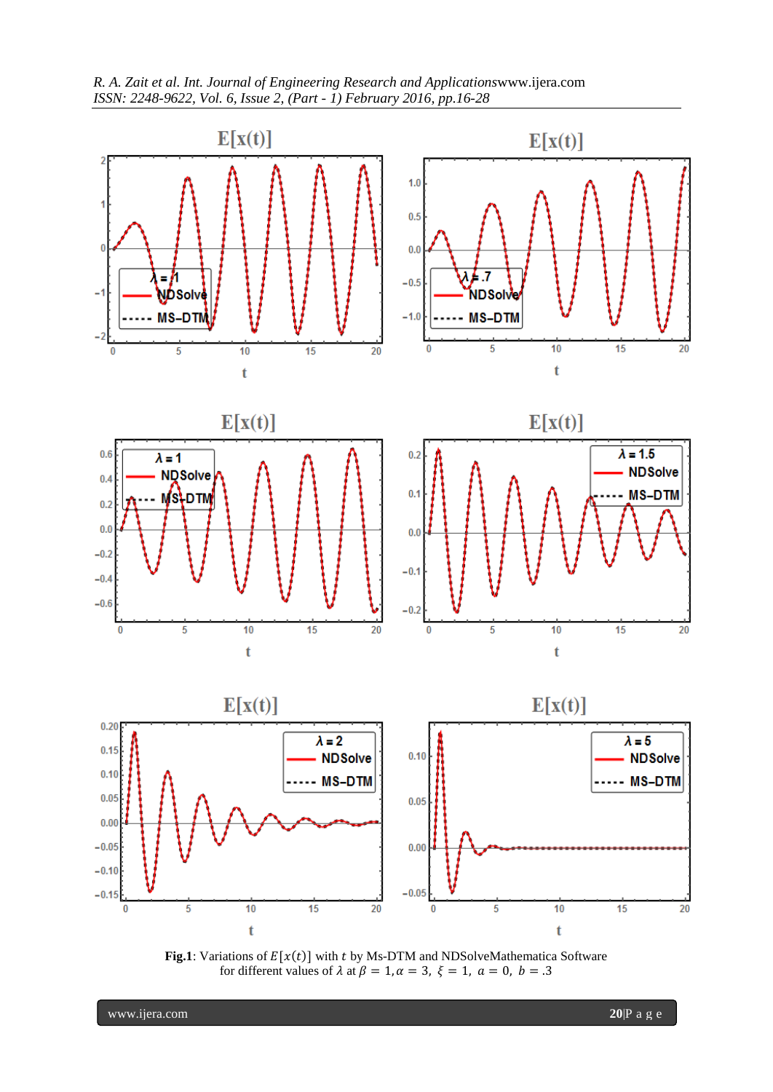



**Fig.1**: Variations of  $E[x(t)]$  with t by Ms-DTM and NDSolveMathematica Software for different values of  $\lambda$  at  $\beta = 1, \alpha = 3, \xi = 1, \alpha = 0, b = .3$ 

www.ijera.com **20**|P a g e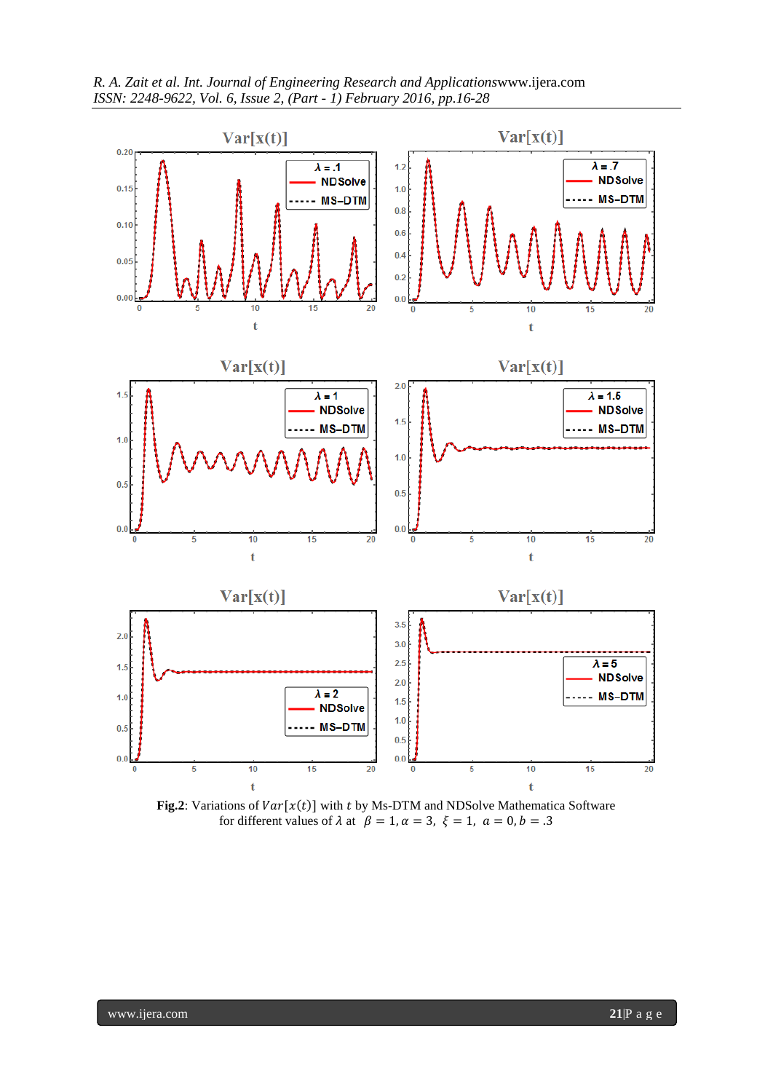



**Fig.2**: Variations of  $Var[x(t)]$  with t by Ms-DTM and NDSolve Mathematica Software for different values of  $\lambda$  at  $\beta = 1, \alpha = 3, \xi = 1, \alpha = 0, b = 0.3$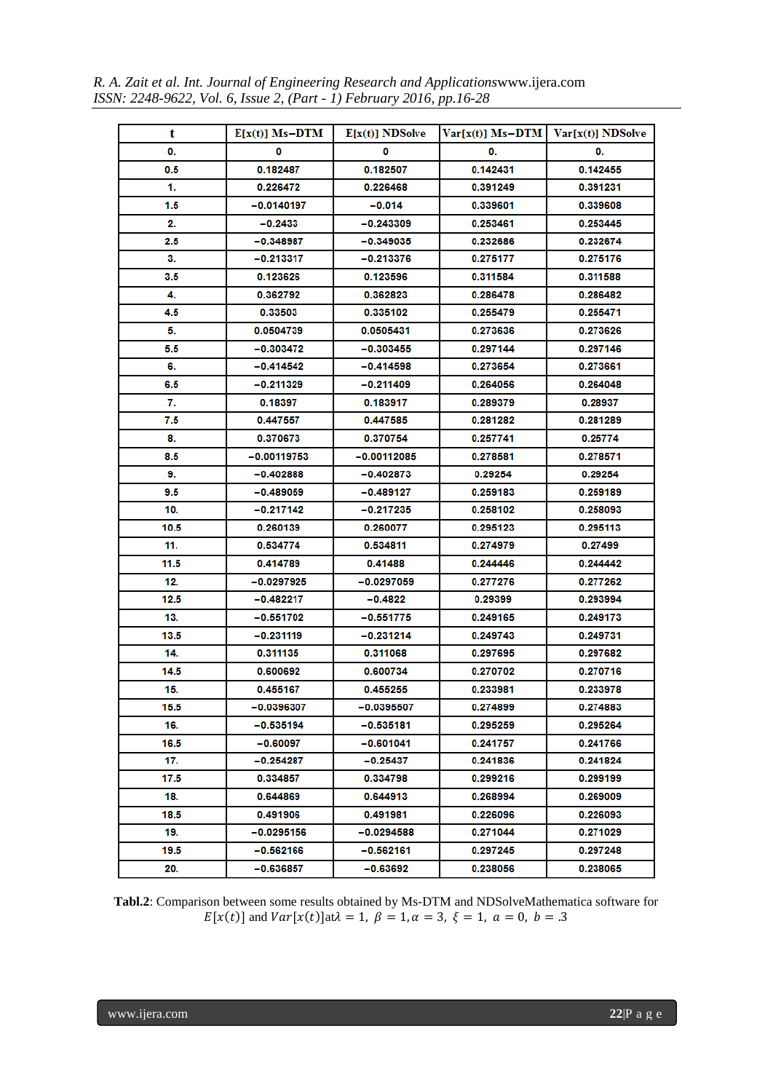*R. A. Zait et al. Int. Journal of Engineering Research and Applications*www.ijera.com *ISSN: 2248-9622, Vol. 6, Issue 2, (Part - 1) February 2016, pp.16-28*

| t    | $E[x(t)]$ Ms-DTM | $E[x(t)]$ NDSolve | $Var[x(t)]$ Ms-DTM   $Var[x(t)]$ NDSolve |          |
|------|------------------|-------------------|------------------------------------------|----------|
| 0.   | 0                | 0                 | 0.                                       | 0.       |
| 0.5  | 0.182487         | 0.182507          | 0.142431                                 | 0.142455 |
| 1.   | 0.226472         | 0.226468          | 0.391249                                 | 0.391231 |
| 1.5  | $-0.0140197$     | -0.014            | 0.339601                                 | 0.339608 |
| 2.   | $-0.2433$        | -0.243309         | 0.253461                                 | 0.253445 |
| 2.5  | $-0.348987$      | $-0.349035$       | 0.232686                                 | 0.232674 |
| 3.   | -0.213317        | -0.213376         | 0.275177                                 | 0.275176 |
| 3.5  | 0.123626         | 0.123596          | 0.311584                                 | 0.311588 |
| 4.   | 0.362792         | 0.362823          | 0.286478                                 | 0.286482 |
| 4.5  | 0.33503          | 0.335102          | 0.255479                                 | 0.255471 |
| 5.   | 0.0504739        | 0.0505431         | 0.273636                                 | 0.273626 |
| 5.5  | -0.303472        | $-0.303455$       | 0.297144                                 | 0.297146 |
| 6.   | -0.414542        | $-0.414598$       | 0.273654                                 | 0.273661 |
| 6.5  | -0.211329        | $-0.211409$       | 0.264056                                 | 0.264048 |
| 7.   | 0.18397          | 0.183917          | 0.289379                                 | 0.28937  |
| 7.5  | 0.447557         | 0.447585          | 0.281282                                 | 0.281289 |
| 8.   | 0.370673         | 0.370754          | 0.257741                                 | 0.25774  |
| 8.5  | -0.00119753      | $-0.00112085$     | 0.278581                                 | 0.278571 |
| 9.   | $-0.402888$      | $-0.402873$       | 0.29254                                  | 0.29254  |
| 9.5  | -0.489059        | -0.489127         | 0.259183                                 | 0.259189 |
| 10.  | -0.217142        | $-0.217235$       | 0.258102                                 | 0.258093 |
| 10.5 | 0.260139         | 0.260077          | 0.295123                                 | 0.295113 |
| 11.  | 0.534774         | 0.534811          | 0.274979                                 | 0.27499  |
| 11.5 | 0.414789         | 0.41488           | 0.244446                                 | 0.244442 |
| 12.  | -0.0297925       | -0.0297059        | 0.277276                                 | 0.277262 |
| 12.5 | -0.482217        | -0.4822           | 0.29399                                  | 0.293994 |
| 13.  | $-0.551702$      | $-0.551775$       | 0.249165                                 | 0.249173 |
| 13.5 | -0.231119        | -0.231214         | 0.249743                                 | 0.249731 |
| 14.  | 0.311135         | 0.311068          | 0.297695                                 | 0.297682 |
| 14.5 | 0.600692         | 0.600734          | 0.270702                                 | 0.270716 |
| 15.  | 0.455167         | 0.455255          | 0.233981                                 | 0.233978 |
| 15.5 | -0.0396307       | -0.0395507        | 0.274899                                 | 0.274883 |
| 16.  | -0.535194        | $-0.535181$       | 0.295259                                 | 0.295264 |
| 16.5 | -0.60097         | $-0.601041$       | 0.241757                                 | 0.241766 |
| 17.  | -0.254287        | -0.25437          | 0.241836                                 | 0.241824 |
| 17.5 | 0.334857         | 0.334798          | 0.299216                                 | 0.299199 |
| 18.  | 0.644869         | 0.644913          | 0.268994                                 | 0.269009 |
| 18.5 | 0.491906         | 0.491981          | 0.226096                                 | 0.226093 |
| 19.  | $-0.0295156$     | -0.0294588        | 0.271044                                 | 0.271029 |
| 19.5 | -0.562166        | -0.562161         | 0.297245                                 | 0.297248 |
| 20.  | -0.636857        | -0.63692          | 0.238056                                 | 0.238065 |

**Tabl.2**: Comparison between some results obtained by Ms-DTM and NDSolveMathematica software for  $E[x(t)]$  and  $Var[x(t)]$  at  $\lambda = 1$ ,  $\beta = 1$ ,  $\alpha = 3$ ,  $\xi = 1$ ,  $\alpha = 0$ ,  $b = .3$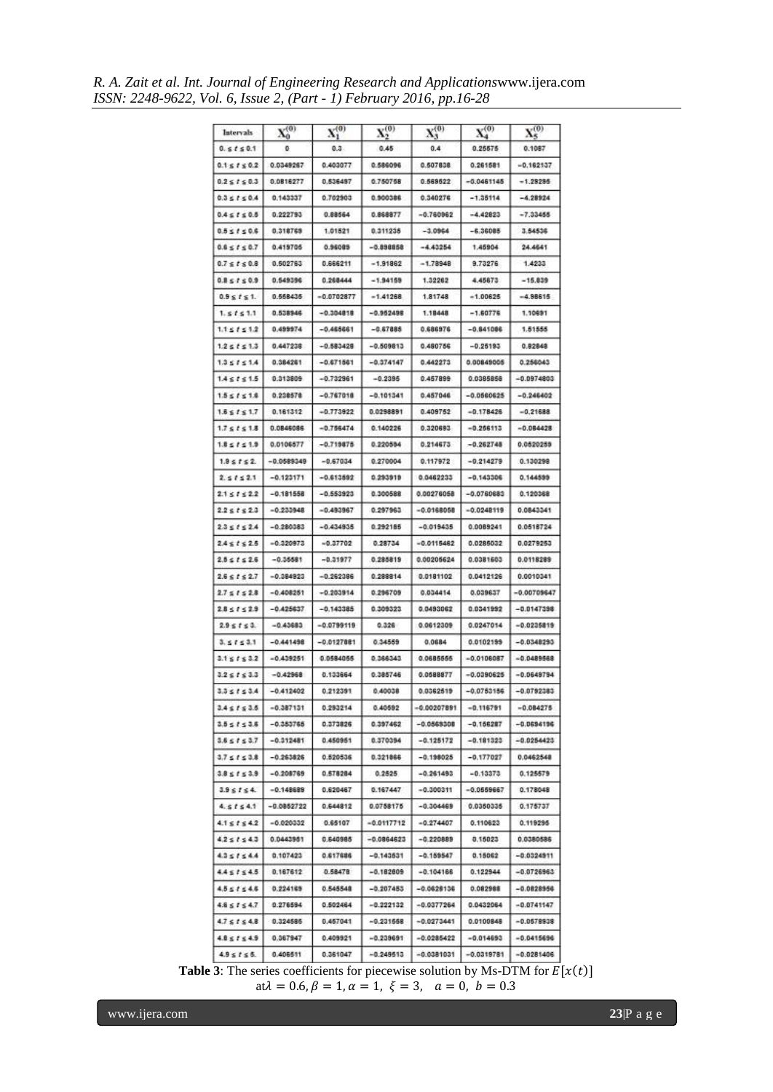*R. A. Zait et al. Int. Journal of Engineering Research and Applications*www.ijera.com *ISSN: 2248-9622, Vol. 6, Issue 2, (Part - 1) February 2016, pp.16-28*

| Intervals             | $X_0^{(0)}$  | $\mathbf{X}^{(0)}_1$ | $\mathbf{X}^{(0)}_2$ | ${\bf X_3^{(0)}}$ | $\mathbf{X}_4^{(0)}$ | $\mathbf{X}_{\mathbf{x}}^{(0)}$ |
|-----------------------|--------------|----------------------|----------------------|-------------------|----------------------|---------------------------------|
| 0.5150.1              |              | $0.3 -$              | 0.45                 |                   | 0.25575              | 0.1087                          |
| $0.1 \le t \le 0.2$   | 0.0349267    | 0.403077             | 0.586096             | 0.507838          | 0.261581             | $-0.162137$                     |
| $0.2 \le t \le 0.3$   | 0.0816277    | 0.536497             | 0.750758             | 0.569622          | $-0.0461145$         | $-1.29296$                      |
| $0.3 \le t \le 0.4$   | 0.143337     | 0.702903             | 0.900386             | 0.340276          | $-1.36114$           | $-4.28924$                      |
| $0.4 \le f \le 0.5$   | 0.222793     | 0.88564              | 0.868877             | $-0.760962$       | $-4.42823$           | $-7.33466$                      |
| $0.5 \le f \le 0.6$   | 0.318765     | 1,01521              | 0.311235             | $-3.0964$         | $-6,36085$           | 3.54536                         |
| $0.6 \le t \le 0.7$   | 0.419705     | 0.96085              | $-0.898858$          | $-4.43254$        | 1.45904              | 24.4641                         |
| $0.7 \le t \le 0.8$   | 0.502763     | 0.666211             | $-1.91862$           | $-1.78948$        | 9.73276              | 1,4233                          |
| $0.8 \le t \le 0.9$   | 0.549396     | 0.268444             | $-1.94159$           | 1.32282           | 4 45873              | $-15,839$                       |
| $0.9 \le t \le 1$ .   | 0.558435     | $-0.0702877$         | $-1.41268$           | 1.81748           | $-1.00626$           | $-4.98615$                      |
| 1.5151.1              | 0.538946     | $-0.304818$          | $-0.962498$          | 1.18448           | $-1.60776$           | 1.10691                         |
| $1.1 \le t \le 1.2$   | 0.499974     | $-0.465661$          | $-0.67885$           | 0.686976          | $-0.841086$          | 1.51555                         |
| $1.2 \le t \le 1.3$   | 0.447238     | $-0.583428$          | $-0.509813$          | 0.480756          | $-0.25193$           | 0.82848                         |
| $1.3 \le f \le 1.4$   | 0.384261     | $-0.671561$          | $-0.374147$          | 0.442273          | 0.00849005           | 0.256043                        |
| $1.4 \le t \le 1.5$   | 0.313809     | $-0.732961$          | $-0.2396$            | 0.457899          | 0.0385858            | $-0.0974803$                    |
| $1.5 \le t \le 1.6$   | 0.238578     | $-0.767018$          | $-0.101341$          | 0.457046          | $-0.0560625$         | $-0.246402$                     |
| $1.6 \le t \le 1.7$   | 0.161312     | $-0.773922$          | 0.0298891            | 0.409752          | $-0.178426$          | $-0.21688$                      |
| $1.7 \le t \le 1.8$   | 0.0846086    | $-0.766474$          | 0.140226             | 0.320693          | $-0.266113$          | $-0.084428$                     |
| $1.8 \le f \le 1.9$   | 0.0106577    | $-0.719875$          | 0.220554             | 0.214673          | $-0.262748$          | 0.0520259                       |
| $1.9 \leq t \leq 2$   | $-0.0589349$ | $-0.67034$           | 0.270004             | 0.117972          | $-0.214279$          | 0.130298                        |
| $2.51 \leq 2.1$       | $-0.123171$  | $-0.613592$          | 0.293919             | 0.0462233         | $-0.143306$          | 0.144599                        |
| $2.1 \le t \le 2.2$   | $-0.181558$  | $-0.553923$          | 0.300588             | 0.00276058        | $-0.0760683$         | 0.120368                        |
| $2.2 \le t \le 2.3$   | $-0.233948$  | $-0.493967$          | 0.297963             | $-0.0168058$      | $-0.0248119$         | 0.0843341                       |
| $2.3 \le t \le 2.4$   | $-0.280383$  | $-0.434935$          | 0.292185             | $-0.019435$       | 0.0089241            | 0.0518724                       |
| $2.4 \le t \le 2.5$   | $-0.320973$  | $-0.37702$           | 0.28734              | $-0.0115462$      | 0.0285032            | 0.0279253                       |
| $2.5 \le t \le 2.5$   | $-0.36681$   | $-0.31977$           | 0.285819             | 0.00205624        | 0.0381603            | 0.0118289                       |
| $2.6 \le t \le 2.7$   | $-0.384823$  | $-0.262386$          | 0.288814             | 0.0181102         | 0.0412126            | 0.0010341                       |
| $2.7 \le t \le 2.8$   | $-0.408251$  | $-0.203914$          | 0.296709             | 0.034414          | 0.039637             | $-0.00709647$                   |
| $2.8 \le f \le 2.9$   | $-0.425637$  | $-0.143385$          | 0.309323             | 0.0493062         | 0.0341992            | $-0.0147398$                    |
| $2.9 \le t \le 3.$    | $-0.43683$   | $-0.0799119$         | 0.326                | 0.0612309         | 0.0247014            | $-0.0235819$                    |
| 3.5153.1              | $-0.441498$  | $-0.0127881$         | 0.34559              | 0.0684            | 0.0102199            | $-0.0348293$                    |
| $3.1 \le t \le 3.2$   | $-0.439251$  | 0.0584055            | 0.366343             | 0.0685555         | $-0.0106087$         | $-0.0489668$                    |
| $3.2 \le f \le 3.3$   | $-0.42968$   | 0.133664             | 0.385746             | 0.0588877         | $-0.0390625$         | $-0.0649794$                    |
| $3.5 \le f \le 3.4$   | $-0.412402$  | 0.212391             | 0.40038              | 0.0362519         | $-0.0753156$         | $-0.0792383$                    |
| $3.4 \le t \le 3.5$   | $-0.387131$  | 0.293214             | 0.40592              | $-0.00207891$     | $-0.116791$          | $-0.084275$                     |
| $3.5 \le t \le 3.5$   | $-0.353765$  | 0.373826             | 0.397462             | $-0.0569308$      | $-0.156287$          | $-0.0694196$                    |
| $3.6 \leq t \leq 3.7$ | $-0.312481$  | 0.450951             | 0.370394             | $-0.125172$       | $-0.181323$          | $-0.0254423$                    |
| $3.7 \le f \le 3.8$   | $-0.263826$  | 0.520536             | 0.321866             | $-0.198025$       | $-0.177027$          | 0.0462548                       |
| $3.8 \le f \le 3.9$   | $-0.208769$  | 0.578284             | 0.2525.              | $-0.261493$       | $-0.13373$           | 0.125579                        |
| $3.9 \le t \le 4.$    | $-0.1486B9$  | 0.620467             | 0.167447             | $-0.300311$       | $-0.0559667$         | 0.178048                        |
| 4.51541               | $-0.0852722$ | 0.644812             | 0.0758175            | $-0.304469$       | 0.0350335            | 0.175737                        |
| $4.1 \le t \le 4.2$   | $-0.020332$  | 0.65107              | $-0.0117712$         | $-0.274407$       | 0.110623             | 0.119295                        |
| $4.2 \le t \le 4.3$   | 0.0443961    | 0.640985             | $-0.0864623$         | $-0.220889$       | 0.15023              | 0.0380586                       |
| $4.3 \le f \le 4.4$   | 0.107423     | 0.617686             | $-0.143531$          | $-0.159547$       | 0.15062              | $-0.0324911$                    |
| $4.4 \le f \le 4.5$   | 0.167612     | 0.58478              | $-0.182809$          | $-0.104166$       | 0.122944             | $-0.0726963$                    |
| $4.5 \le t \le 4.5$   | 0.224165     | 0.545548             | $-0.207453$          | $-0.0628136$      | 0.082988             | $-0.0828966$                    |
| $4.8 \le t \le 4.7$   | 0.276594     | 0.502464             | $-0.222132$          | $-0.0377264$      | 0.0432064            | $-0.0741147$                    |
| $4.7 \le f \le 4.8$   | 0.324585     | 0.457041             | $-0.231668$          | $-0.0273441$      | 0.0100848            | $-0.0578938$                    |
| $4.8 \le f \le 4.9$   | 0.367947     | 0.409921             | $-0.239691$          | $-0.0285422$      | $-0.014693$          | $-0.0415696$                    |
| $4.9 \le t \le 6.$    | 0.406511     | 0.361047             | $-0.249513$          | $-0.0381031$      | $-0.0319781$         | $-0.0281406$                    |

**Table 3**: The series coefficients for piecewise solution by Ms-DTM for  $E[x(t)]$  $at \lambda = 0.6, \beta = 1, \alpha = 1, \xi = 3, \alpha = 0, b = 0.3$ 

www.ijera.com **23**|P a g e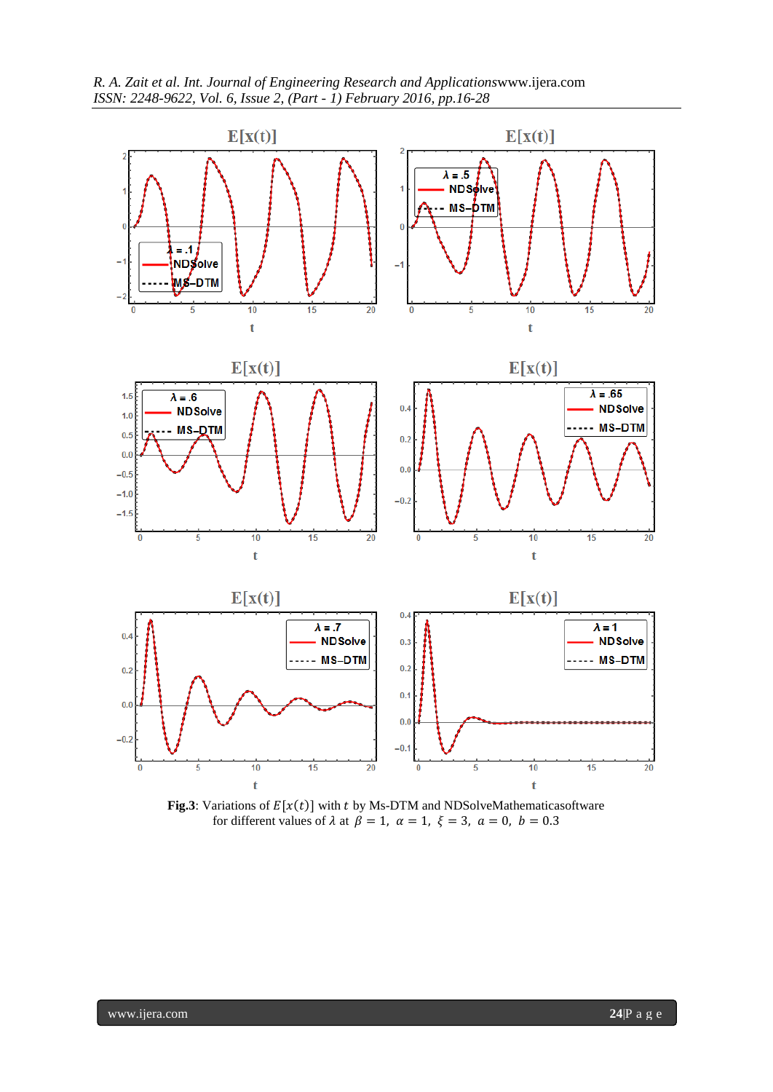



**Fig.3**: Variations of  $E[x(t)]$  with t by Ms-DTM and NDSolveMathematicasoftware for different values of  $\lambda$  at  $\beta = 1$ ,  $\alpha = 1$ ,  $\xi = 3$ ,  $\alpha = 0$ ,  $b = 0.3$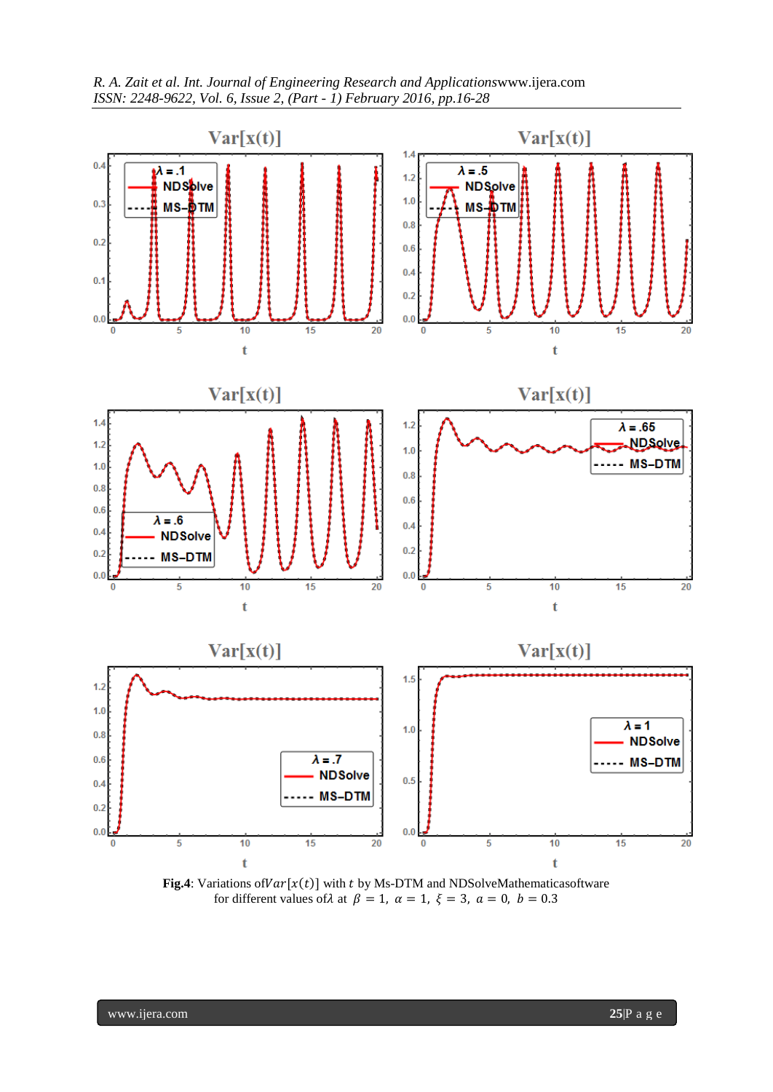



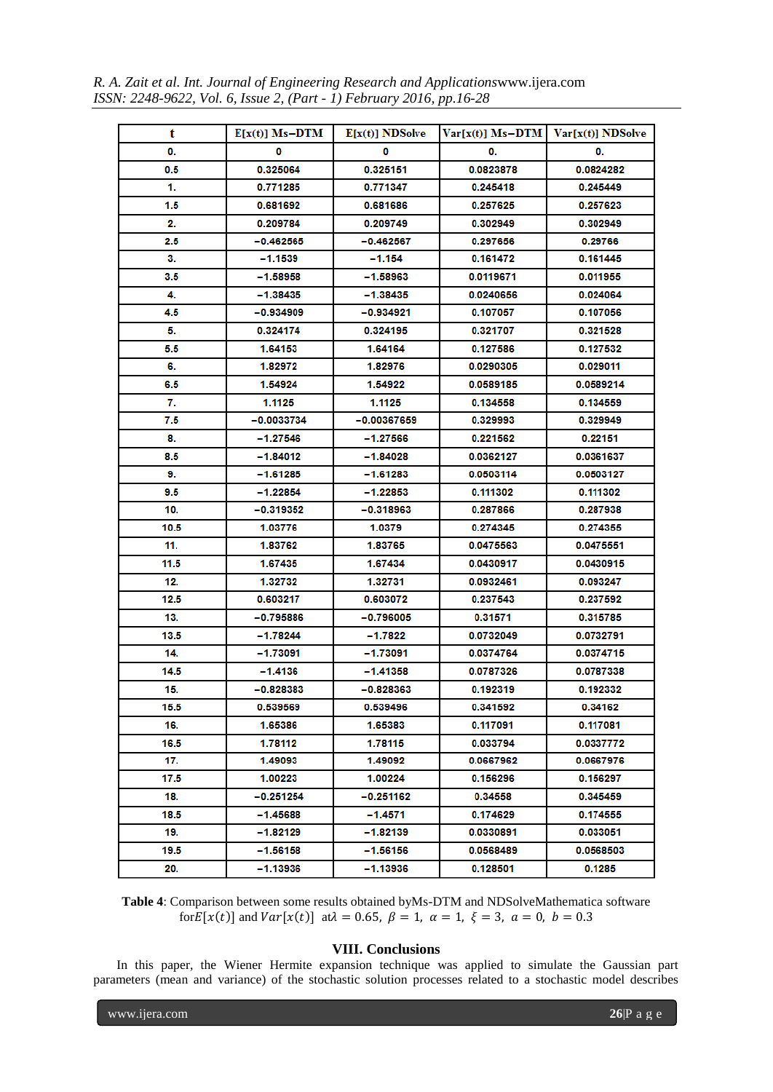*R. A. Zait et al. Int. Journal of Engineering Research and Applications*www.ijera.com *ISSN: 2248-9622, Vol. 6, Issue 2, (Part - 1) February 2016, pp.16-28*

| t    | $E[x(t)]$ Ms-DTM | $E[x(t)]$ NDSolve | $Var[x(t)]$ Ms-DTM   $Var[x(t)]$ NDSolve |           |
|------|------------------|-------------------|------------------------------------------|-----------|
| 0.   | 0                | 0                 | 0.                                       | 0.        |
| 0.5  | 0.325064         | 0.325151          | 0.0823878                                | 0.0824282 |
| 1.   | 0.771285         | 0.771347          | 0.245418                                 | 0.245449  |
| 1.5  | 0.681692         | 0.681686          | 0.257625                                 | 0.257623  |
| 2.   | 0.209784         | 0.209749          | 0.302949                                 | 0.302949  |
| 2.5  | -0.462565        | -0.462567         | 0.297656                                 | 0.29766   |
| 3.   | -1.1539          | -1.154            | 0.161472                                 | 0.161445  |
| 3.5  | -1.58958         | $-1.58963$        | 0.0119671                                | 0.011955  |
| 4.   | $-1.38435$       | $-1.38435$        | 0.0240656                                | 0.024064  |
| 4.5  | -0.934909        | -0.934921         | 0.107057                                 | 0.107056  |
| 5.   | 0.324174         | 0.324195          | 0.321707                                 | 0.321528  |
| 5.5  | 1.64153          | 1.64164           | 0.127586                                 | 0.127532  |
| 6.   | 1.82972          | 1.82976           | 0.0290305                                | 0.029011  |
| 6.5  | 1.54924          | 1.54922           | 0.0589185                                | 0.0589214 |
| 7.   | 1.1125           | 1.1125            | 0.134558                                 | 0.134559  |
| 7.5  | -0.0033734       | $-0.00367659$     | 0.329993                                 | 0.329949  |
| 8.   | -1.27546         | $-1.27566$        | 0.221562                                 | 0.22151   |
| 8.5  | -1.84012         | $-1.84028$        | 0.0362127                                | 0.0361637 |
| 9.   | $-1.61285$       | $-1.61283$        | 0.0503114                                | 0.0503127 |
| 9.5  | -1.22854         | -1.22853          | 0.111302                                 | 0.111302  |
| 10.  | -0.319352        | $-0.318963$       | 0.287866                                 | 0.287938  |
| 10.5 | 1.03776          | 1.0379            | 0.274345                                 | 0.274355  |
| 11.  | 1.83762          | 1.83765           | 0.0475563                                | 0.0475551 |
| 11.5 | 1.67435          | 1.67434           | 0.0430917                                | 0.0430915 |
| 12.  | 1.32732          | 1.32731           | 0.0932461                                | 0.093247  |
| 12.5 | 0.603217         | 0.603072          | 0.237543                                 | 0.237592  |
| 13.  | -0.795886        | -0.796005         | 0.31571                                  | 0.315785  |
| 13.5 | -1.78244         | -1.7822           | 0.0732049                                | 0.0732791 |
| 14.  | $-1.73091$       | -1.73091          | 0.0374764                                | 0.0374715 |
| 14.5 | -1.4136          | $-1.41358$        | 0.0787326                                | 0.0787338 |
| 15.  | -0.828383        | -0.828363         | 0.192319                                 | 0.192332  |
| 15.5 | 0.539569         | 0.539496          | 0.341592                                 | 0.34162   |
| 16.  | 1.65386          | 1.65383           | 0.117091                                 | 0.117081  |
| 16.5 | 1.78112          | 1.78115           | 0.033794                                 | 0.0337772 |
| 17.  | 1.49093          | 1.49092           | 0.0667962                                | 0.0667976 |
| 17.5 | 1.00223          | 1.00224           | 0.156296                                 | 0.156297  |
| 18.  | $-0.251254$      | -0.251162         | 0.34558                                  | 0.345459  |
| 18.5 | $-1.45688$       | $-1.4571$         | 0.174629                                 | 0.174555  |
| 19.  | -1.82129         | $-1.82139$        | 0.0330891                                | 0.033051  |
| 19.5 | -1.56158         | -1.56156          | 0.0568489                                | 0.0568503 |
| 20.  | $-1.13936$       | $-1.13936$        | 0.128501                                 | 0.1285    |

**Table 4**: Comparison between some results obtained byMs-DTM and NDSolveMathematica software for  $E[x(t)]$  and  $Var[x(t)]$  at  $\lambda = 0.65$ ,  $\beta = 1$ ,  $\alpha = 1$ ,  $\xi = 3$ ,  $\alpha = 0$ ,  $b = 0.3$ 

# **VIII. Conclusions**

In this paper, the Wiener Hermite expansion technique was applied to simulate the Gaussian part parameters (mean and variance) of the stochastic solution processes related to a stochastic model describes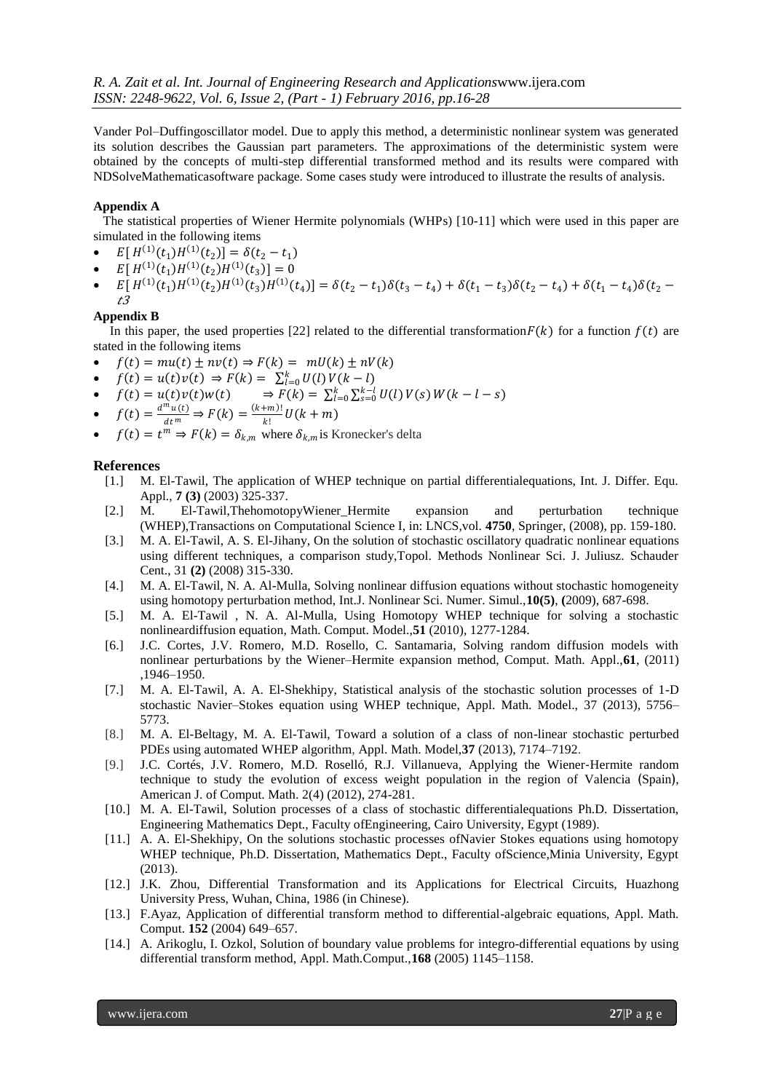Vander Pol–Duffingoscillator model. Due to apply this method, a deterministic nonlinear system was generated its solution describes the Gaussian part parameters. The approximations of the deterministic system were obtained by the concepts of multi-step differential transformed method and its results were compared with NDSolveMathematicasoftware package. Some cases study were introduced to illustrate the results of analysis.

# **Appendix A**

 The statistical properties of Wiener Hermite polynomials (WHPs) [10-11] which were used in this paper are simulated in the following items

- $E[H^{(1)}(t_1)H^{(1)}(t_2)] = \delta(t_2 t_1)$
- $E[H^{(1)}(t_1)H^{(1)}(t_2)H^{(1)}(t_3)] = 0$
- $E[H^{(1)}(t_1)H^{(1)}(t_2)H^{(1)}(t_3)H^{(1)}(t_4)] = \delta(t_2 t_1)\delta(t_3 t_4) + \delta(t_1 t_3)\delta(t_2 t_4) + \delta(t_1 t_4)\delta(t_2 t_4)$ t3

# **Appendix B**

In this paper, the used properties [22] related to the differential transformation  $F(k)$  for a function  $f(t)$  are stated in the following items

- $f(t) = mu(t) \pm nv(t) \Rightarrow F(k) = mU(k) \pm nV(k)$
- $f(t) = u(t)v(t) \Rightarrow F(k) = \sum_{l=0}^{k} U(l) V(k-l)$
- $f(t) = u(t)v(t)w(t)$   $\Rightarrow F(k) = \sum_{l=0}^{k} \sum_{s=0}^{k-l} U(l) V(s) W(k-l-s)$
- $f(t) = \frac{d^m u(t)}{dt^m} \Rightarrow F(k) = \frac{(k+m)!}{k!}$  $\frac{H_{k+1}}{k!}U(k+m)$
- $f(t) = t^m \Rightarrow F(k) = \delta_{k,m}$  where  $\delta_{k,m}$  is Kronecker's delta

# **References**

- [1.] M. El-Tawil, The application of WHEP technique on partial differentialequations, Int. J. Differ. Equ. Appl., **7 (3)** (2003) 325-337.
- [2.] M. El-Tawil,ThehomotopyWiener\_Hermite expansion and perturbation technique (WHEP),Transactions on Computational Science I, in: LNCS,vol. **4750**, Springer, (2008), pp. 159-180.
- [3.] M. A. El-Tawil, A. S. El-Jihany, On the solution of stochastic oscillatory quadratic nonlinear equations using different techniques, a comparison study,Topol. Methods Nonlinear Sci. J. Juliusz. Schauder Cent., 31 **(2)** (2008) 315-330.
- [4.] M. A. El-Tawil, N. A. Al-Mulla, Solving nonlinear diffusion equations without stochastic homogeneity using homotopy perturbation method, Int.J. Nonlinear Sci. Numer. Simul.,**10(5)**, **(**2009), 687-698.
- [5.] M. A. El-Tawil , N. A. Al-Mulla, Using Homotopy WHEP technique for solving a stochastic nonlineardiffusion equation, Math. Comput. Model.,**51** (2010), 1277-1284.
- [6.] J.C. Cortes, J.V. Romero, M.D. Rosello, C. Santamaria, Solving random diffusion models with nonlinear perturbations by the Wiener–Hermite expansion method, Comput. Math. Appl.,**61**, (2011) ,1946–1950.
- [7.] M. A. El-Tawil, A. A. El-Shekhipy, Statistical analysis of the stochastic solution processes of 1-D stochastic Navier–Stokes equation using WHEP technique, Appl. Math. Model., 37 (2013), 5756– 5773.
- [8.] M. A. El-Beltagy, M. A. El-Tawil, Toward a solution of a class of non-linear stochastic perturbed PDEs using automated WHEP algorithm, Appl. Math. Model,**37** (2013), 7174–7192.
- [9.] J.C. Cortés, J.V. Romero, M.D. Roselló, R.J. Villanueva, Applying the Wiener-Hermite random technique to study the evolution of excess weight population in the region of Valencia (Spain), American J. of Comput. Math. 2(4) (2012), 274-281.
- [10.] M. A. El-Tawil, Solution processes of a class of stochastic differentialequations Ph.D. Dissertation, Engineering Mathematics Dept., Faculty ofEngineering, Cairo University, Egypt (1989).
- [11.] A. A. El-Shekhipy, On the solutions stochastic processes ofNavier Stokes equations using homotopy WHEP technique, Ph.D. Dissertation, Mathematics Dept., Faculty ofScience,Minia University, Egypt (2013).
- [12.] J.K. Zhou, Differential Transformation and its Applications for Electrical Circuits, Huazhong University Press, Wuhan, China, 1986 (in Chinese).
- [13.] F.Ayaz, Application of differential transform method to differential-algebraic equations, Appl. Math. Comput. **152** (2004) 649–657.
- [14.] A. Arikoglu, I. Ozkol, Solution of boundary value problems for integro-differential equations by using differential transform method, Appl. Math.Comput.,**168** (2005) 1145–1158.